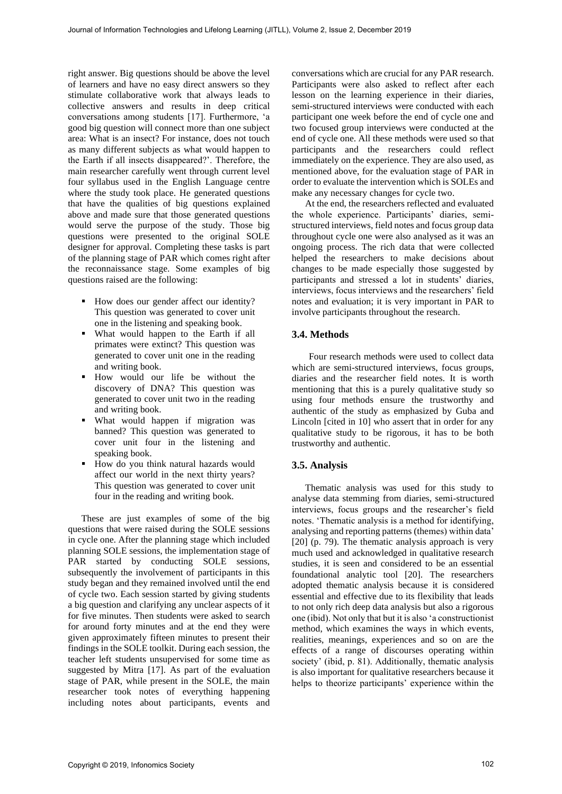right answer. Big questions should be above the level of learners and have no easy direct answers so they stimulate collaborative work that always leads to collective answers and results in deep critical conversations among students [17]. Furthermore, 'a good big question will connect more than one subject area: What is an insect? For instance, does not touch as many different subjects as what would happen to the Earth if all insects disappeared?'. Therefore, the main researcher carefully went through current level four syllabus used in the English Language centre where the study took place. He generated questions that have the qualities of big questions explained above and made sure that those generated questions would serve the purpose of the study. Those big questions were presented to the original SOLE designer for approval. Completing these tasks is part of the planning stage of PAR which comes right after the reconnaissance stage. Some examples of big questions raised are the following:

- How does our gender affect our identity? This question was generated to cover unit one in the listening and speaking book.
- What would happen to the Earth if all primates were extinct? This question was generated to cover unit one in the reading and writing book.
- How would our life be without the discovery of DNA? This question was generated to cover unit two in the reading and writing book.
- What would happen if migration was banned? This question was generated to cover unit four in the listening and speaking book.
- How do you think natural hazards would affect our world in the next thirty years? This question was generated to cover unit four in the reading and writing book.

These are just examples of some of the big questions that were raised during the SOLE sessions in cycle one. After the planning stage which included planning SOLE sessions, the implementation stage of PAR started by conducting SOLE sessions, subsequently the involvement of participants in this study began and they remained involved until the end of cycle two. Each session started by giving students a big question and clarifying any unclear aspects of it for five minutes. Then students were asked to search for around forty minutes and at the end they were given approximately fifteen minutes to present their findings in the SOLE toolkit. During each session, the teacher left students unsupervised for some time as suggested by Mitra [17]. As part of the evaluation stage of PAR, while present in the SOLE, the main researcher took notes of everything happening including notes about participants, events and conversations which are crucial for any PAR research. Participants were also asked to reflect after each lesson on the learning experience in their diaries, semi-structured interviews were conducted with each participant one week before the end of cycle one and two focused group interviews were conducted at the end of cycle one. All these methods were used so that participants and the researchers could reflect immediately on the experience. They are also used, as mentioned above, for the evaluation stage of PAR in order to evaluate the intervention which is SOLEs and make any necessary changes for cycle two.

At the end, the researchers reflected and evaluated the whole experience. Participants' diaries, semistructured interviews, field notes and focus group data throughout cycle one were also analysed as it was an ongoing process. The rich data that were collected helped the researchers to make decisions about changes to be made especially those suggested by participants and stressed a lot in students' diaries, interviews, focus interviews and the researchers' field notes and evaluation; it is very important in PAR to involve participants throughout the research.

# **3.4. Methods**

Four research methods were used to collect data which are semi-structured interviews, focus groups, diaries and the researcher field notes. It is worth mentioning that this is a purely qualitative study so using four methods ensure the trustworthy and authentic of the study as emphasized by Guba and Lincoln [cited in 10] who assert that in order for any qualitative study to be rigorous, it has to be both trustworthy and authentic.

## **3.5. Analysis**

Thematic analysis was used for this study to analyse data stemming from diaries, semi-structured interviews, focus groups and the researcher's field notes. 'Thematic analysis is a method for identifying, analysing and reporting patterns (themes) within data' [20] (p. 79). The thematic analysis approach is very much used and acknowledged in qualitative research studies, it is seen and considered to be an essential foundational analytic tool [20]. The researchers adopted thematic analysis because it is considered essential and effective due to its flexibility that leads to not only rich deep data analysis but also a rigorous one (ibid). Not only that but it is also 'a constructionist method, which examines the ways in which events, realities, meanings, experiences and so on are the effects of a range of discourses operating within society' (ibid, p. 81). Additionally, thematic analysis is also important for qualitative researchers because it helps to theorize participants' experience within the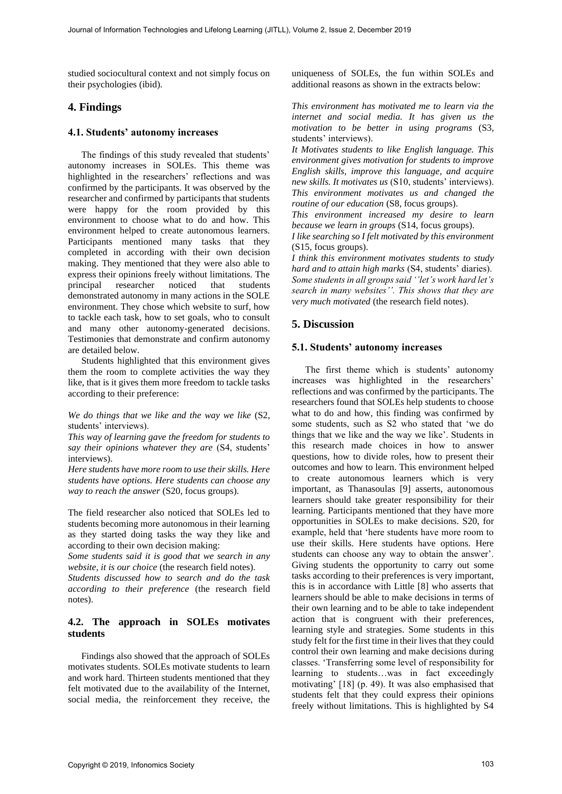studied sociocultural context and not simply focus on their psychologies (ibid).

## **4. Findings**

#### **4.1. Students' autonomy increases**

The findings of this study revealed that students' autonomy increases in SOLEs. This theme was highlighted in the researchers' reflections and was confirmed by the participants. It was observed by the researcher and confirmed by participants that students were happy for the room provided by this environment to choose what to do and how. This environment helped to create autonomous learners. Participants mentioned many tasks that they completed in according with their own decision making. They mentioned that they were also able to express their opinions freely without limitations. The principal researcher noticed that students demonstrated autonomy in many actions in the SOLE environment. They chose which website to surf, how to tackle each task, how to set goals, who to consult and many other autonomy-generated decisions. Testimonies that demonstrate and confirm autonomy are detailed below.

Students highlighted that this environment gives them the room to complete activities the way they like, that is it gives them more freedom to tackle tasks according to their preference:

*We do things that we like and the way we like* (S2, students' interviews).

*This way of learning gave the freedom for students to say their opinions whatever they are* (S4, students' interviews).

*Here students have more room to use their skills. Here students have options. Here students can choose any way to reach the answer* (S20, focus groups).

The field researcher also noticed that SOLEs led to students becoming more autonomous in their learning as they started doing tasks the way they like and according to their own decision making:

*Some students said it is good that we search in any website, it is our choice* (the research field notes).

*Students discussed how to search and do the task according to their preference* (the research field notes).

#### **4.2. The approach in SOLEs motivates students**

Findings also showed that the approach of SOLEs motivates students. SOLEs motivate students to learn and work hard. Thirteen students mentioned that they felt motivated due to the availability of the Internet, social media, the reinforcement they receive, the

uniqueness of SOLEs, the fun within SOLEs and additional reasons as shown in the extracts below:

*This environment has motivated me to learn via the internet and social media. It has given us the motivation to be better in using programs* (S3, students' interviews).

*It Motivates students to like English language. This environment gives motivation for students to improve English skills, improve this language, and acquire new skills. It motivates us* (S10, students' interviews). *This environment motivates us and changed the routine of our education* (S8, focus groups).

*This environment increased my desire to learn because we learn in groups* (S14, focus groups).

*I like searching so I felt motivated by this environment* (S15, focus groups).

*I think this environment motivates students to study hard and to attain high marks* (S4, students' diaries). *Some students in all groups said ''let's work hard let's search in many websites''. This shows that they are very much motivated* (the research field notes).

# **5. Discussion**

#### **5.1. Students' autonomy increases**

The first theme which is students' autonomy increases was highlighted in the researchers' reflections and was confirmed by the participants. The researchers found that SOLEs help students to choose what to do and how, this finding was confirmed by some students, such as S2 who stated that 'we do things that we like and the way we like'. Students in this research made choices in how to answer questions, how to divide roles, how to present their outcomes and how to learn. This environment helped to create autonomous learners which is very important, as Thanasoulas [9] asserts, autonomous learners should take greater responsibility for their learning. Participants mentioned that they have more opportunities in SOLEs to make decisions. S20, for example, held that 'here students have more room to use their skills. Here students have options. Here students can choose any way to obtain the answer'. Giving students the opportunity to carry out some tasks according to their preferences is very important, this is in accordance with Little [8] who asserts that learners should be able to make decisions in terms of their own learning and to be able to take independent action that is congruent with their preferences, learning style and strategies. Some students in this study felt for the first time in their lives that they could control their own learning and make decisions during classes. 'Transferring some level of responsibility for learning to students…was in fact exceedingly motivating' [18] (p. 49). It was also emphasised that students felt that they could express their opinions freely without limitations. This is highlighted by S4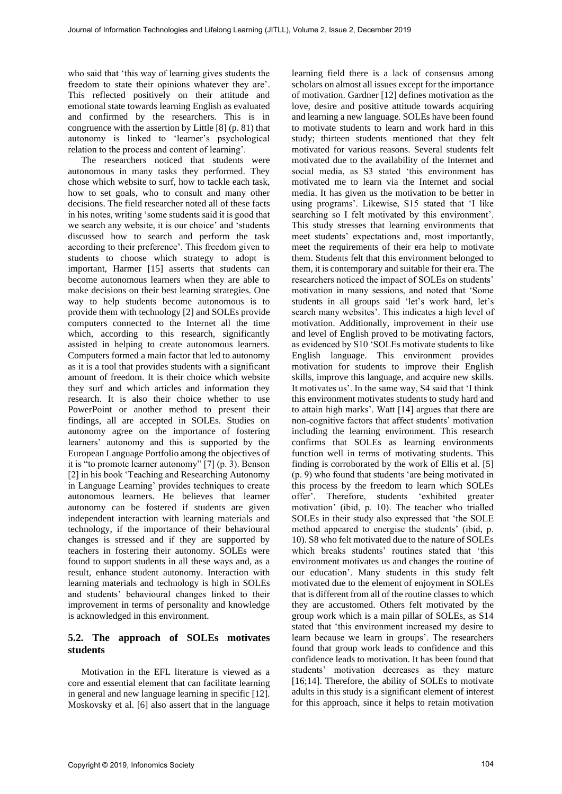who said that 'this way of learning gives students the freedom to state their opinions whatever they are'. This reflected positively on their attitude and emotional state towards learning English as evaluated and confirmed by the researchers. This is in congruence with the assertion by Little [8] (p. 81) that autonomy is linked to 'learner's psychological relation to the process and content of learning'.

The researchers noticed that students were autonomous in many tasks they performed. They chose which website to surf, how to tackle each task, how to set goals, who to consult and many other decisions. The field researcher noted all of these facts in his notes, writing 'some students said it is good that we search any website, it is our choice' and 'students discussed how to search and perform the task according to their preference'. This freedom given to students to choose which strategy to adopt is important, Harmer [15] asserts that students can become autonomous learners when they are able to make decisions on their best learning strategies. One way to help students become autonomous is to provide them with technology [2] and SOLEs provide computers connected to the Internet all the time which, according to this research, significantly assisted in helping to create autonomous learners. Computers formed a main factor that led to autonomy as it is a tool that provides students with a significant amount of freedom. It is their choice which website they surf and which articles and information they research. It is also their choice whether to use PowerPoint or another method to present their findings, all are accepted in SOLEs. Studies on autonomy agree on the importance of fostering learners' autonomy and this is supported by the European Language Portfolio among the objectives of it is "to promote learner autonomy" [7] (p. 3). Benson [2] in his book 'Teaching and Researching Autonomy in Language Learning' provides techniques to create autonomous learners. He believes that learner autonomy can be fostered if students are given independent interaction with learning materials and technology, if the importance of their behavioural changes is stressed and if they are supported by teachers in fostering their autonomy. SOLEs were found to support students in all these ways and, as a result, enhance student autonomy. Interaction with learning materials and technology is high in SOLEs and students' behavioural changes linked to their improvement in terms of personality and knowledge is acknowledged in this environment.

# **5.2. The approach of SOLEs motivates students**

Motivation in the EFL literature is viewed as a core and essential element that can facilitate learning in general and new language learning in specific [12]. Moskovsky et al. [6] also assert that in the language

learning field there is a lack of consensus among scholars on almost all issues except for the importance of motivation. Gardner [12] defines motivation as the love, desire and positive attitude towards acquiring and learning a new language. SOLEs have been found to motivate students to learn and work hard in this study; thirteen students mentioned that they felt motivated for various reasons. Several students felt motivated due to the availability of the Internet and social media, as S3 stated 'this environment has motivated me to learn via the Internet and social media. It has given us the motivation to be better in using programs'. Likewise, S15 stated that 'I like searching so I felt motivated by this environment'. This study stresses that learning environments that meet students' expectations and, most importantly, meet the requirements of their era help to motivate them. Students felt that this environment belonged to them, it is contemporary and suitable for their era. The researchers noticed the impact of SOLEs on students' motivation in many sessions, and noted that 'Some students in all groups said 'let's work hard, let's search many websites'. This indicates a high level of motivation. Additionally, improvement in their use and level of English proved to be motivating factors, as evidenced by S10 'SOLEs motivate students to like English language. This environment provides motivation for students to improve their English skills, improve this language, and acquire new skills. It motivates us'. In the same way, S4 said that 'I think this environment motivates students to study hard and to attain high marks'. Watt [14] argues that there are non-cognitive factors that affect students' motivation including the learning environment. This research confirms that SOLEs as learning environments function well in terms of motivating students. This finding is corroborated by the work of Ellis et al. [5] (p. 9) who found that students 'are being motivated in this process by the freedom to learn which SOLEs offer'. Therefore, students 'exhibited greater motivation' (ibid, p. 10). The teacher who trialled SOLEs in their study also expressed that 'the SOLE method appeared to energise the students' (ibid, p. 10). S8 who felt motivated due to the nature of SOLEs which breaks students' routines stated that 'this environment motivates us and changes the routine of our education'. Many students in this study felt motivated due to the element of enjoyment in SOLEs that is different from all of the routine classes to which they are accustomed. Others felt motivated by the group work which is a main pillar of SOLEs, as S14 stated that 'this environment increased my desire to learn because we learn in groups'. The researchers found that group work leads to confidence and this confidence leads to motivation. It has been found that students' motivation decreases as they mature [16;14]. Therefore, the ability of SOLEs to motivate adults in this study is a significant element of interest for this approach, since it helps to retain motivation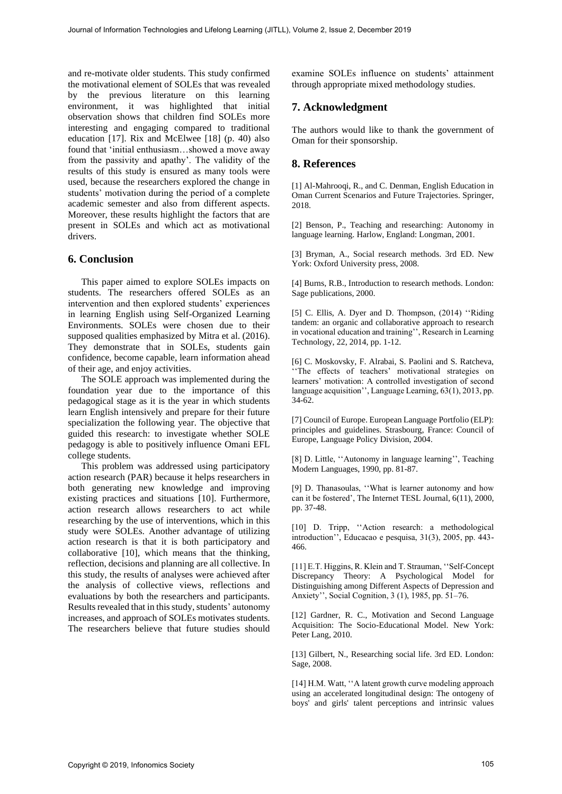and re-motivate older students. This study confirmed the motivational element of SOLEs that was revealed by the previous literature on this learning environment, it was highlighted that initial observation shows that children find SOLEs more interesting and engaging compared to traditional education [17]. Rix and McElwee [18] (p. 40) also found that 'initial enthusiasm…showed a move away from the passivity and apathy'. The validity of the results of this study is ensured as many tools were used, because the researchers explored the change in students' motivation during the period of a complete academic semester and also from different aspects. Moreover, these results highlight the factors that are present in SOLEs and which act as motivational drivers.

## **6. Conclusion**

This paper aimed to explore SOLEs impacts on students. The researchers offered SOLEs as an intervention and then explored students' experiences in learning English using Self-Organized Learning Environments. SOLEs were chosen due to their supposed qualities emphasized by Mitra et al. (2016). They demonstrate that in SOLEs, students gain confidence, become capable, learn information ahead of their age, and enjoy activities.

The SOLE approach was implemented during the foundation year due to the importance of this pedagogical stage as it is the year in which students learn English intensively and prepare for their future specialization the following year. The objective that guided this research: to investigate whether SOLE pedagogy is able to positively influence Omani EFL college students.

This problem was addressed using participatory action research (PAR) because it helps researchers in both generating new knowledge and improving existing practices and situations [10]. Furthermore, action research allows researchers to act while researching by the use of interventions, which in this study were SOLEs. Another advantage of utilizing action research is that it is both participatory and collaborative [10], which means that the thinking, reflection, decisions and planning are all collective. In this study, the results of analyses were achieved after the analysis of collective views, reflections and evaluations by both the researchers and participants. Results revealed that in this study, students' autonomy increases, and approach of SOLEs motivates students. The researchers believe that future studies should

examine SOLEs influence on students' attainment through appropriate mixed methodology studies.

# **7. Acknowledgment**

The authors would like to thank the government of Oman for their sponsorship.

# **8. References**

[1] Al-Mahrooqi, R., and C. Denman, English Education in Oman Current Scenarios and Future Trajectories. Springer, 2018.

[2] Benson, P., Teaching and researching: Autonomy in language learning. Harlow, England: Longman, 2001.

[3] Bryman, A., Social research methods. 3rd ED. New York: Oxford University press, 2008.

[4] Burns, R.B., Introduction to research methods. London: Sage publications, 2000.

[5] C. Ellis, A. Dyer and D. Thompson, (2014) ''Riding tandem: an organic and collaborative approach to research in vocational education and training'', Research in Learning Technology, 22, 2014, pp. 1-12.

[6] C. Moskovsky, F. Alrabai, S. Paolini and S. Ratcheva, 'The effects of teachers' motivational strategies on learners' motivation: A controlled investigation of second language acquisition'', Language Learning, 63(1), 2013, pp. 34-62.

[7] Council of Europe. European Language Portfolio (ELP): principles and guidelines. Strasbourg, France: Council of Europe, Language Policy Division, 2004.

[8] D. Little, ''Autonomy in language learning'', Teaching Modern Languages, 1990, pp. 81-87.

[9] D. Thanasoulas, ''What is learner autonomy and how can it be fostered', The Internet TESL Journal, 6(11), 2000, pp. 37-48.

[10] D. Tripp, "Action research: a methodological introduction'', Educacao e pesquisa, 31(3), 2005, pp. 443- 466.

[11] E.T. Higgins, R. Klein and T. Strauman, ''Self-Concept Discrepancy Theory: A Psychological Model for Distinguishing among Different Aspects of Depression and Anxiety'', Social Cognition, 3 (1), 1985, pp. 51–76.

[12] Gardner, R. C., Motivation and Second Language Acquisition: The Socio-Educational Model. New York: Peter Lang, 2010.

[13] Gilbert, N., Researching social life. 3rd ED. London: Sage, 2008.

[14] H.M. Watt, ''A latent growth curve modeling approach using an accelerated longitudinal design: The ontogeny of boys' and girls' talent perceptions and intrinsic values